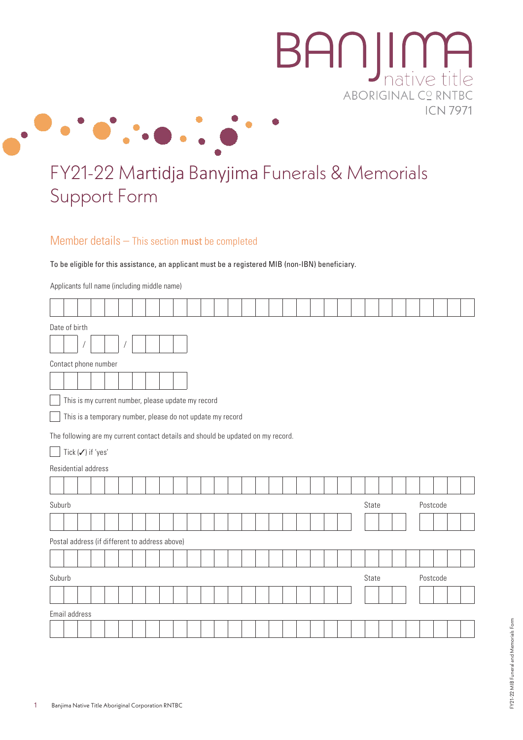



## FY21-22 Martidja Banyjima Funerals & Memorials Support Form

Member details – This section must be completed

To be eligible for this assistance, an applicant must be a registered MIB (non-IBN) beneficiary.

Applicants full name (including middle name)

|        | Date of birth                                                                    |  |  |  |  |  |  |  |  |  |  |       |  |  |          |  |          |  |  |
|--------|----------------------------------------------------------------------------------|--|--|--|--|--|--|--|--|--|--|-------|--|--|----------|--|----------|--|--|
|        |                                                                                  |  |  |  |  |  |  |  |  |  |  |       |  |  |          |  |          |  |  |
|        | Contact phone number                                                             |  |  |  |  |  |  |  |  |  |  |       |  |  |          |  |          |  |  |
|        |                                                                                  |  |  |  |  |  |  |  |  |  |  |       |  |  |          |  |          |  |  |
|        | This is my current number, please update my record                               |  |  |  |  |  |  |  |  |  |  |       |  |  |          |  |          |  |  |
|        | This is a temporary number, please do not update my record                       |  |  |  |  |  |  |  |  |  |  |       |  |  |          |  |          |  |  |
|        | The following are my current contact details and should be updated on my record. |  |  |  |  |  |  |  |  |  |  |       |  |  |          |  |          |  |  |
|        | Tick (√) if 'yes'                                                                |  |  |  |  |  |  |  |  |  |  |       |  |  |          |  |          |  |  |
|        | Residential address                                                              |  |  |  |  |  |  |  |  |  |  |       |  |  |          |  |          |  |  |
|        |                                                                                  |  |  |  |  |  |  |  |  |  |  |       |  |  |          |  |          |  |  |
| Suburb |                                                                                  |  |  |  |  |  |  |  |  |  |  | State |  |  | Postcode |  |          |  |  |
|        |                                                                                  |  |  |  |  |  |  |  |  |  |  |       |  |  |          |  |          |  |  |
|        | Postal address (if different to address above)                                   |  |  |  |  |  |  |  |  |  |  |       |  |  |          |  |          |  |  |
|        |                                                                                  |  |  |  |  |  |  |  |  |  |  |       |  |  |          |  |          |  |  |
| Suburb |                                                                                  |  |  |  |  |  |  |  |  |  |  | State |  |  |          |  | Postcode |  |  |
|        |                                                                                  |  |  |  |  |  |  |  |  |  |  |       |  |  |          |  |          |  |  |
|        | Email address                                                                    |  |  |  |  |  |  |  |  |  |  |       |  |  |          |  |          |  |  |
|        |                                                                                  |  |  |  |  |  |  |  |  |  |  |       |  |  |          |  |          |  |  |